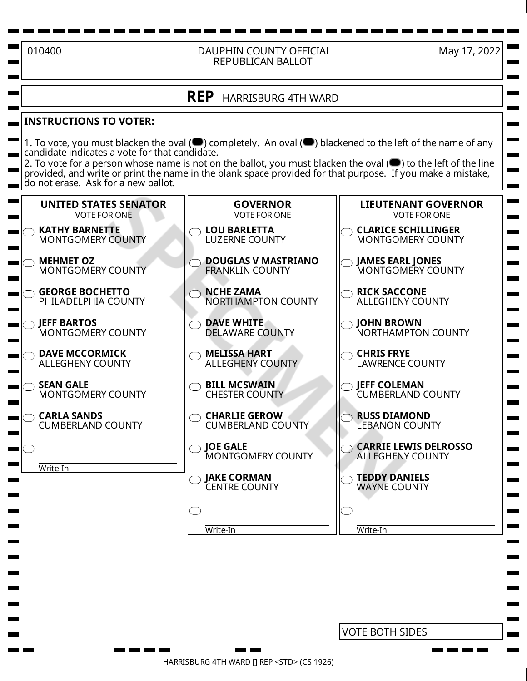## 010400 DAUPHIN COUNTY OFFICIAL REPUBLICAN BALLOT

May 17, 2022

## **REP** - HARRISBURG 4TH WARD

## **INSTRUCTIONS TO VOTER:**

1. To vote, you must blacken the oval (<sup>1</sup>) completely. An oval (<sup>2</sup>) blackened to the left of the name of any candidate indicates a vote for that candidate.

2. To vote for a person whose name is not on the ballot, you must blacken the oval  $($ **)** to the left of the line provided, and write or print the name in the blank space provided for that purpose. If you make a mistake, do not erase. Ask for a new ballot.



VOTE BOTH SIDES